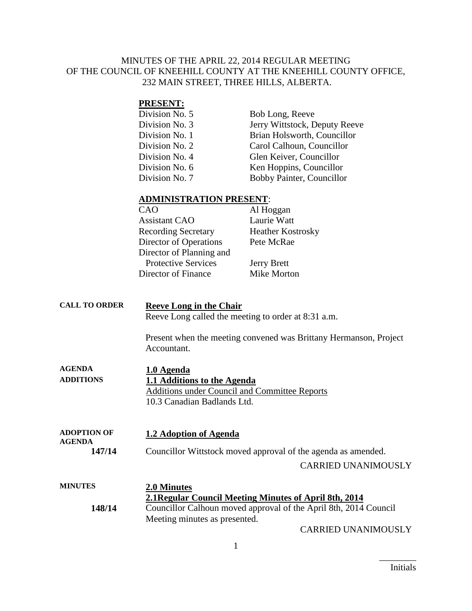#### MINUTES OF THE APRIL 22, 2014 REGULAR MEETING OF THE COUNCIL OF KNEEHILL COUNTY AT THE KNEEHILL COUNTY OFFICE, 232 MAIN STREET, THREE HILLS, ALBERTA.

#### **PRESENT:**

| Division No. 5 | Bob Long, Reeve               |
|----------------|-------------------------------|
| Division No. 3 | Jerry Wittstock, Deputy Reeve |
| Division No. 1 | Brian Holsworth, Councillor   |
| Division No. 2 | Carol Calhoun, Councillor     |
| Division No. 4 | Glen Keiver, Councillor       |
| Division No. 6 | Ken Hoppins, Councillor       |
| Division No. 7 | Bobby Painter, Councillor     |

#### **ADMINISTRATION PRESENT**:

| CAO                        | Al Hoggan                |
|----------------------------|--------------------------|
| <b>Assistant CAO</b>       | Laurie Watt              |
| <b>Recording Secretary</b> | <b>Heather Kostrosky</b> |
| Director of Operations     | Pete McRae               |
| Director of Planning and   |                          |
| <b>Protective Services</b> | <b>Jerry Brett</b>       |
| Director of Finance        | Mike Morton              |

| <b>CALL TO ORDER</b> | <b>Reeve Long in the Chair</b>                      |
|----------------------|-----------------------------------------------------|
|                      | Reeve Long called the meeting to order at 8:31 a.m. |
|                      | Dresont when the meeting convened wee Dritteny Horn |

Present when the meeting convened was Brittany Hermanson, Project Accountant.

| <b>AGENDA</b>    | 1.0 Agenda                                    |
|------------------|-----------------------------------------------|
| <b>ADDITIONS</b> | 1.1 Additions to the Agenda                   |
|                  | Additions under Council and Committee Reports |
|                  | 10.3 Canadian Badlands Ltd.                   |

| <b>ADOPTION OF</b> | 1.2 Adoption of Agenda |
|--------------------|------------------------|
| <b>AGENDA</b>      |                        |

**147/14** Councillor Wittstock moved approval of the agenda as amended.

CARRIED UNANIMOUSLY

| <b>MINUTES</b> | 2.0 Minutes<br>2.1 Regular Council Meeting Minutes of April 8th, 2014                             |
|----------------|---------------------------------------------------------------------------------------------------|
| 148/14         | Councillor Calhoun moved approval of the April 8th, 2014 Council<br>Meeting minutes as presented. |

CARRIED UNANIMOUSLY

 $\overline{\phantom{a}}$  . The set of the set of the set of the set of the set of the set of the set of the set of the set of the set of the set of the set of the set of the set of the set of the set of the set of the set of the set o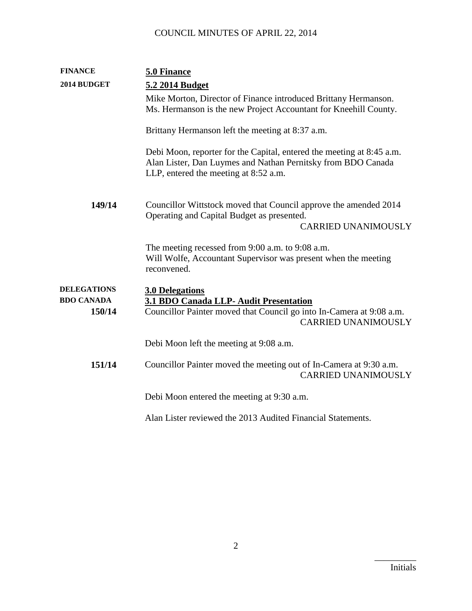| <b>FINANCE</b>              | 5.0 Finance                                                                                                                                                                    |
|-----------------------------|--------------------------------------------------------------------------------------------------------------------------------------------------------------------------------|
| 2014 BUDGET                 | 5.2 2014 Budget                                                                                                                                                                |
|                             | Mike Morton, Director of Finance introduced Brittany Hermanson.<br>Ms. Hermanson is the new Project Accountant for Kneehill County.                                            |
|                             | Brittany Hermanson left the meeting at 8:37 a.m.                                                                                                                               |
|                             | Debi Moon, reporter for the Capital, entered the meeting at 8:45 a.m.<br>Alan Lister, Dan Luymes and Nathan Pernitsky from BDO Canada<br>LLP, entered the meeting at 8:52 a.m. |
| 149/14                      | Councillor Wittstock moved that Council approve the amended 2014<br>Operating and Capital Budget as presented.<br><b>CARRIED UNANIMOUSLY</b>                                   |
|                             | The meeting recessed from 9:00 a.m. to 9:08 a.m.<br>Will Wolfe, Accountant Supervisor was present when the meeting<br>reconvened.                                              |
| <b>DELEGATIONS</b>          | <b>3.0 Delegations</b>                                                                                                                                                         |
| <b>BDO CANADA</b><br>150/14 | 3.1 BDO Canada LLP- Audit Presentation<br>Councillor Painter moved that Council go into In-Camera at 9:08 a.m.<br><b>CARRIED UNANIMOUSLY</b>                                   |
|                             | Debi Moon left the meeting at 9:08 a.m.                                                                                                                                        |
| 151/14                      | Councillor Painter moved the meeting out of In-Camera at 9:30 a.m.<br><b>CARRIED UNANIMOUSLY</b>                                                                               |
|                             | Debi Moon entered the meeting at 9:30 a.m.                                                                                                                                     |
|                             | Alan Lister reviewed the 2013 Audited Financial Statements.                                                                                                                    |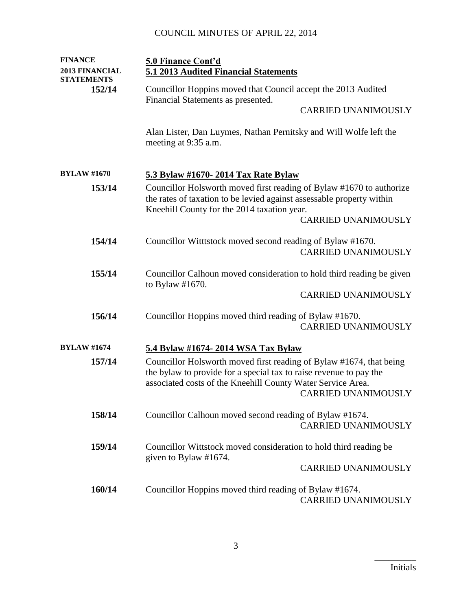| <b>FINANCE</b>                             | 5.0 Finance Cont'd                                                                                                                                                                                                                     |  |
|--------------------------------------------|----------------------------------------------------------------------------------------------------------------------------------------------------------------------------------------------------------------------------------------|--|
| <b>2013 FINANCIAL</b><br><b>STATEMENTS</b> | 5.1 2013 Audited Financial Statements                                                                                                                                                                                                  |  |
| 152/14                                     | Councillor Hoppins moved that Council accept the 2013 Audited<br>Financial Statements as presented.                                                                                                                                    |  |
|                                            | <b>CARRIED UNANIMOUSLY</b>                                                                                                                                                                                                             |  |
|                                            | Alan Lister, Dan Luymes, Nathan Pernitsky and Will Wolfe left the<br>meeting at 9:35 a.m.                                                                                                                                              |  |
| <b>BYLAW #1670</b>                         | 5.3 Bylaw #1670- 2014 Tax Rate Bylaw                                                                                                                                                                                                   |  |
| 153/14                                     | Councillor Holsworth moved first reading of Bylaw #1670 to authorize<br>the rates of taxation to be levied against assessable property within<br>Kneehill County for the 2014 taxation year.<br><b>CARRIED UNANIMOUSLY</b>             |  |
| 154/14                                     | Councillor Wittstock moved second reading of Bylaw #1670.<br><b>CARRIED UNANIMOUSLY</b>                                                                                                                                                |  |
| 155/14                                     | Councillor Calhoun moved consideration to hold third reading be given<br>to Bylaw $#1670$ .<br><b>CARRIED UNANIMOUSLY</b>                                                                                                              |  |
| 156/14                                     | Councillor Hoppins moved third reading of Bylaw #1670.<br><b>CARRIED UNANIMOUSLY</b>                                                                                                                                                   |  |
| <b>BYLAW #1674</b>                         | 5.4 Bylaw #1674- 2014 WSA Tax Bylaw                                                                                                                                                                                                    |  |
| 157/14                                     | Councillor Holsworth moved first reading of Bylaw #1674, that being<br>the bylaw to provide for a special tax to raise revenue to pay the<br>associated costs of the Kneehill County Water Service Area.<br><b>CARRIED UNANIMOUSLY</b> |  |
| 158/14                                     | Councillor Calhoun moved second reading of Bylaw #1674.<br><b>CARRIED UNANIMOUSLY</b>                                                                                                                                                  |  |
| 159/14                                     | Councillor Wittstock moved consideration to hold third reading be<br>given to Bylaw #1674.                                                                                                                                             |  |
|                                            | <b>CARRIED UNANIMOUSLY</b>                                                                                                                                                                                                             |  |
| 160/14                                     | Councillor Hoppins moved third reading of Bylaw #1674.<br><b>CARRIED UNANIMOUSLY</b>                                                                                                                                                   |  |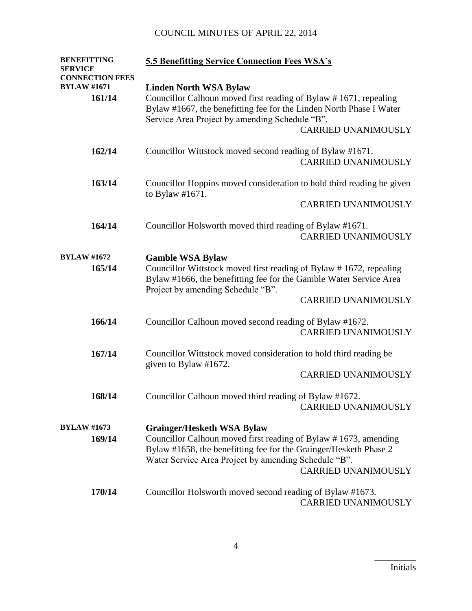| <b>BENEFITTING</b>                       | <b>5.5 Benefitting Service Connection Fees WSA's</b>                                                                                                                                                                       |
|------------------------------------------|----------------------------------------------------------------------------------------------------------------------------------------------------------------------------------------------------------------------------|
| <b>SERVICE</b><br><b>CONNECTION FEES</b> |                                                                                                                                                                                                                            |
| <b>BYLAW #1671</b>                       | <b>Linden North WSA Bylaw</b>                                                                                                                                                                                              |
| 161/14                                   | Councillor Calhoun moved first reading of Bylaw #1671, repealing<br>Bylaw #1667, the benefitting fee for the Linden North Phase I Water<br>Service Area Project by amending Schedule "B".                                  |
|                                          | <b>CARRIED UNANIMOUSLY</b>                                                                                                                                                                                                 |
| 162/14                                   | Councillor Wittstock moved second reading of Bylaw #1671.<br><b>CARRIED UNANIMOUSLY</b>                                                                                                                                    |
| 163/14                                   | Councillor Hoppins moved consideration to hold third reading be given<br>to Bylaw $#1671$ .                                                                                                                                |
|                                          | <b>CARRIED UNANIMOUSLY</b>                                                                                                                                                                                                 |
| 164/14                                   | Councillor Holsworth moved third reading of Bylaw #1671.<br><b>CARRIED UNANIMOUSLY</b>                                                                                                                                     |
| <b>BYLAW #1672</b>                       | <b>Gamble WSA Bylaw</b>                                                                                                                                                                                                    |
| 165/14                                   | Councillor Wittstock moved first reading of Bylaw #1672, repealing<br>Bylaw #1666, the benefitting fee for the Gamble Water Service Area<br>Project by amending Schedule "B".                                              |
|                                          | <b>CARRIED UNANIMOUSLY</b>                                                                                                                                                                                                 |
| 166/14                                   | Councillor Calhoun moved second reading of Bylaw #1672.                                                                                                                                                                    |
|                                          | <b>CARRIED UNANIMOUSLY</b>                                                                                                                                                                                                 |
| 167/14                                   | Councillor Wittstock moved consideration to hold third reading be<br>given to Bylaw #1672.                                                                                                                                 |
|                                          | <b>CARRIED UNANIMOUSLY</b>                                                                                                                                                                                                 |
| 168/14                                   | Councillor Calhoun moved third reading of Bylaw #1672.<br><b>CARRIED UNANIMOUSLY</b>                                                                                                                                       |
| <b>BYLAW #1673</b>                       | <b>Grainger/Hesketh WSA Bylaw</b>                                                                                                                                                                                          |
| 169/14                                   | Councillor Calhoun moved first reading of Bylaw #1673, amending<br>Bylaw #1658, the benefitting fee for the Grainger/Hesketh Phase 2<br>Water Service Area Project by amending Schedule "B".<br><b>CARRIED UNANIMOUSLY</b> |
| 170/14                                   | Councillor Holsworth moved second reading of Bylaw #1673.<br><b>CARRIED UNANIMOUSLY</b>                                                                                                                                    |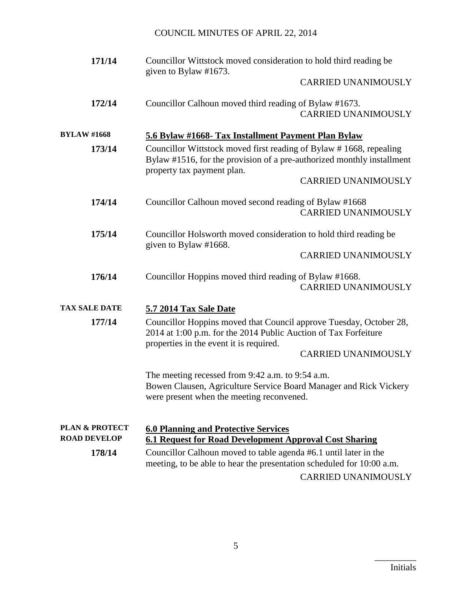| 171/14                                           | Councillor Wittstock moved consideration to hold third reading be<br>given to Bylaw #1673.                                                                                 |
|--------------------------------------------------|----------------------------------------------------------------------------------------------------------------------------------------------------------------------------|
|                                                  | <b>CARRIED UNANIMOUSLY</b>                                                                                                                                                 |
| 172/14                                           | Councillor Calhoun moved third reading of Bylaw #1673.<br><b>CARRIED UNANIMOUSLY</b>                                                                                       |
| <b>BYLAW #1668</b>                               | 5.6 Bylaw #1668- Tax Installment Payment Plan Bylaw                                                                                                                        |
| 173/14                                           | Councillor Wittstock moved first reading of Bylaw #1668, repealing<br>Bylaw #1516, for the provision of a pre-authorized monthly installment<br>property tax payment plan. |
|                                                  | <b>CARRIED UNANIMOUSLY</b>                                                                                                                                                 |
| 174/14                                           | Councillor Calhoun moved second reading of Bylaw #1668<br><b>CARRIED UNANIMOUSLY</b>                                                                                       |
| 175/14                                           | Councillor Holsworth moved consideration to hold third reading be<br>given to Bylaw #1668.                                                                                 |
|                                                  | <b>CARRIED UNANIMOUSLY</b>                                                                                                                                                 |
| 176/14                                           | Councillor Hoppins moved third reading of Bylaw #1668.<br><b>CARRIED UNANIMOUSLY</b>                                                                                       |
| <b>TAX SALE DATE</b>                             | 5.7 2014 Tax Sale Date                                                                                                                                                     |
| 177/14                                           | Councillor Hoppins moved that Council approve Tuesday, October 28,<br>2014 at 1:00 p.m. for the 2014 Public Auction of Tax Forfeiture                                      |
|                                                  | properties in the event it is required.<br><b>CARRIED UNANIMOUSLY</b>                                                                                                      |
|                                                  | The meeting recessed from 9:42 a.m. to 9:54 a.m.<br>Bowen Clausen, Agriculture Service Board Manager and Rick Vickery<br>were present when the meeting reconvened.         |
| <b>PLAN &amp; PROTECT</b><br><b>ROAD DEVELOP</b> | <b>6.0 Planning and Protective Services</b><br><b>6.1 Request for Road Development Approval Cost Sharing</b>                                                               |
| 178/14                                           | Councillor Calhoun moved to table agenda #6.1 until later in the<br>meeting, to be able to hear the presentation scheduled for 10:00 a.m.                                  |
|                                                  | <b>CARRIED UNANIMOUSLY</b>                                                                                                                                                 |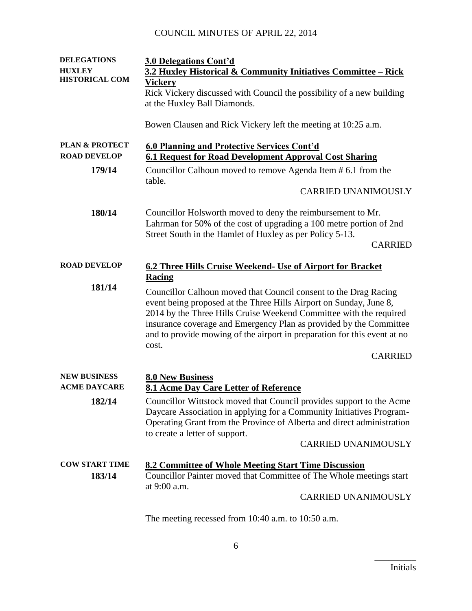| <b>DELEGATIONS</b><br><b>HUXLEY</b>              | <b>3.0 Delegations Cont'd</b><br>3.2 Huxley Historical & Community Initiatives Committee - Rick                                                                                                                                                                                                                                                                |
|--------------------------------------------------|----------------------------------------------------------------------------------------------------------------------------------------------------------------------------------------------------------------------------------------------------------------------------------------------------------------------------------------------------------------|
| <b>HISTORICAL COM</b>                            | Vickery                                                                                                                                                                                                                                                                                                                                                        |
|                                                  | Rick Vickery discussed with Council the possibility of a new building                                                                                                                                                                                                                                                                                          |
|                                                  | at the Huxley Ball Diamonds.                                                                                                                                                                                                                                                                                                                                   |
|                                                  | Bowen Clausen and Rick Vickery left the meeting at 10:25 a.m.                                                                                                                                                                                                                                                                                                  |
| <b>PLAN &amp; PROTECT</b><br><b>ROAD DEVELOP</b> | 6.0 Planning and Protective Services Cont'd<br><b>6.1 Request for Road Development Approval Cost Sharing</b>                                                                                                                                                                                                                                                   |
| 179/14                                           | Councillor Calhoun moved to remove Agenda Item # 6.1 from the                                                                                                                                                                                                                                                                                                  |
|                                                  | table.<br><b>CARRIED UNANIMOUSLY</b>                                                                                                                                                                                                                                                                                                                           |
| 180/14                                           | Councillor Holsworth moved to deny the reimbursement to Mr.<br>Lahrman for 50% of the cost of upgrading a 100 metre portion of 2nd<br>Street South in the Hamlet of Huxley as per Policy 5-13.                                                                                                                                                                 |
|                                                  | <b>CARRIED</b>                                                                                                                                                                                                                                                                                                                                                 |
| <b>ROAD DEVELOP</b>                              | 6.2 Three Hills Cruise Weekend- Use of Airport for Bracket                                                                                                                                                                                                                                                                                                     |
|                                                  | Racing                                                                                                                                                                                                                                                                                                                                                         |
| 181/14                                           | Councillor Calhoun moved that Council consent to the Drag Racing<br>event being proposed at the Three Hills Airport on Sunday, June 8,<br>2014 by the Three Hills Cruise Weekend Committee with the required<br>insurance coverage and Emergency Plan as provided by the Committee<br>and to provide mowing of the airport in preparation for this event at no |
|                                                  | cost.<br><b>CARRIED</b>                                                                                                                                                                                                                                                                                                                                        |
| <b>NEW BUSINESS</b><br><b>ACME DAYCARE</b>       | <b>8.0 New Business</b>                                                                                                                                                                                                                                                                                                                                        |
|                                                  | 8.1 Acme Day Care Letter of Reference                                                                                                                                                                                                                                                                                                                          |
| 182/14                                           | Councillor Wittstock moved that Council provides support to the Acme<br>Daycare Association in applying for a Community Initiatives Program-<br>Operating Grant from the Province of Alberta and direct administration<br>to create a letter of support.                                                                                                       |
|                                                  | <b>CARRIED UNANIMOUSLY</b>                                                                                                                                                                                                                                                                                                                                     |
| <b>COW START TIME</b><br>183/14                  | 8.2 Committee of Whole Meeting Start Time Discussion<br>Councillor Painter moved that Committee of The Whole meetings start<br>at 9:00 a.m.                                                                                                                                                                                                                    |
|                                                  | <b>CARRIED UNANIMOUSLY</b>                                                                                                                                                                                                                                                                                                                                     |
|                                                  | The meeting recessed from $10:40$ a.m. to $10:50$ a.m.                                                                                                                                                                                                                                                                                                         |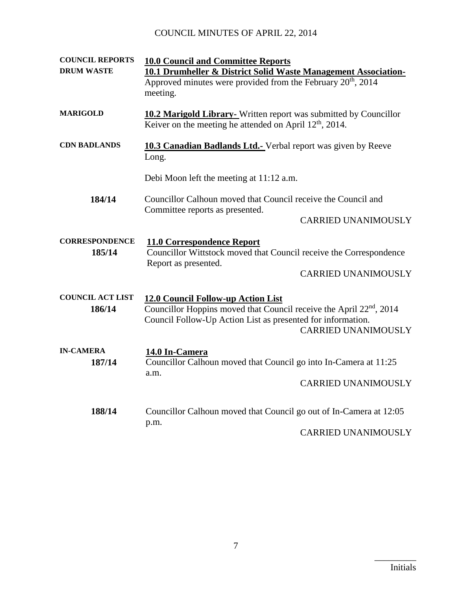| <b>COUNCIL REPORTS</b>            | <b>10.0 Council and Committee Reports</b>                                                                                                                                                                          |
|-----------------------------------|--------------------------------------------------------------------------------------------------------------------------------------------------------------------------------------------------------------------|
| <b>DRUM WASTE</b>                 | 10.1 Drumheller & District Solid Waste Management Association-<br>Approved minutes were provided from the February 20 <sup>th</sup> , 2014                                                                         |
|                                   | meeting.                                                                                                                                                                                                           |
| <b>MARIGOLD</b>                   | <b>10.2 Marigold Library-</b> Written report was submitted by Councillor<br>Keiver on the meeting he attended on April $12th$ , 2014.                                                                              |
| <b>CDN BADLANDS</b>               | <b>10.3 Canadian Badlands Ltd.-</b> Verbal report was given by Reeve<br>Long.                                                                                                                                      |
|                                   | Debi Moon left the meeting at 11:12 a.m.                                                                                                                                                                           |
| 184/14                            | Councillor Calhoun moved that Council receive the Council and<br>Committee reports as presented.                                                                                                                   |
|                                   | <b>CARRIED UNANIMOUSLY</b>                                                                                                                                                                                         |
| <b>CORRESPONDENCE</b><br>185/14   | <b>11.0 Correspondence Report</b><br>Councillor Wittstock moved that Council receive the Correspondence<br>Report as presented.                                                                                    |
|                                   | <b>CARRIED UNANIMOUSLY</b>                                                                                                                                                                                         |
| <b>COUNCIL ACT LIST</b><br>186/14 | 12.0 Council Follow-up Action List<br>Councillor Hoppins moved that Council receive the April 22 <sup>nd</sup> , 2014<br>Council Follow-Up Action List as presented for information.<br><b>CARRIED UNANIMOUSLY</b> |
| <b>IN-CAMERA</b><br>187/14        | 14.0 In-Camera<br>Councillor Calhoun moved that Council go into In-Camera at 11:25<br>a.m.                                                                                                                         |
|                                   | <b>CARRIED UNANIMOUSLY</b>                                                                                                                                                                                         |
| 188/14                            | Councillor Calhoun moved that Council go out of In-Camera at 12:05<br>p.m.                                                                                                                                         |
|                                   | <b>CARRIED UNANIMOUSLY</b>                                                                                                                                                                                         |